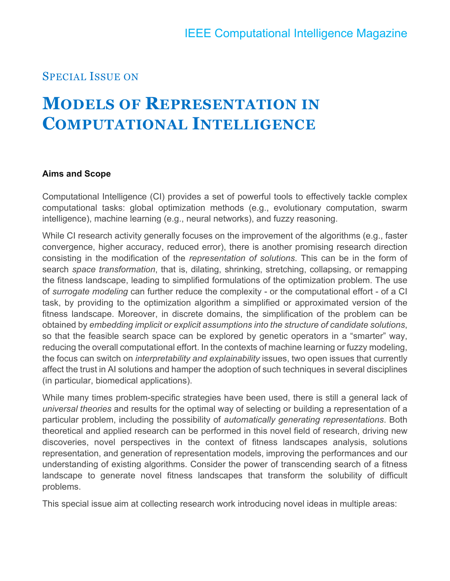### SPECIAL ISSUE ON

# **MODELS OF REPRESENTATION IN COMPUTATIONAL INTELLIGENCE**

#### **Aims and Scope**

Computational Intelligence (CI) provides a set of powerful tools to effectively tackle complex computational tasks: global optimization methods (e.g., evolutionary computation, swarm intelligence), machine learning (e.g., neural networks), and fuzzy reasoning.

While CI research activity generally focuses on the improvement of the algorithms (e.g., faster convergence, higher accuracy, reduced error), there is another promising research direction consisting in the modification of the *representation of solutions*. This can be in the form of search *space transformation*, that is, dilating, shrinking, stretching, collapsing, or remapping the fitness landscape, leading to simplified formulations of the optimization problem. The use of *surrogate modeling* can further reduce the complexity - or the computational effort - of a CI task, by providing to the optimization algorithm a simplified or approximated version of the fitness landscape. Moreover, in discrete domains, the simplification of the problem can be obtained by *embedding implicit or explicit assumptions into the structure of candidate solutions*, so that the feasible search space can be explored by genetic operators in a "smarter" way, reducing the overall computational effort. In the contexts of machine learning or fuzzy modeling, the focus can switch on *interpretability and explainability* issues, two open issues that currently affect the trust in AI solutions and hamper the adoption of such techniques in several disciplines (in particular, biomedical applications).

While many times problem-specific strategies have been used, there is still a general lack of *universal theories* and results for the optimal way of selecting or building a representation of a particular problem, including the possibility of *automatically generating representations*. Both theoretical and applied research can be performed in this novel field of research, driving new discoveries, novel perspectives in the context of fitness landscapes analysis, solutions representation, and generation of representation models, improving the performances and our understanding of existing algorithms. Consider the power of transcending search of a fitness landscape to generate novel fitness landscapes that transform the solubility of difficult problems.

This special issue aim at collecting research work introducing novel ideas in multiple areas: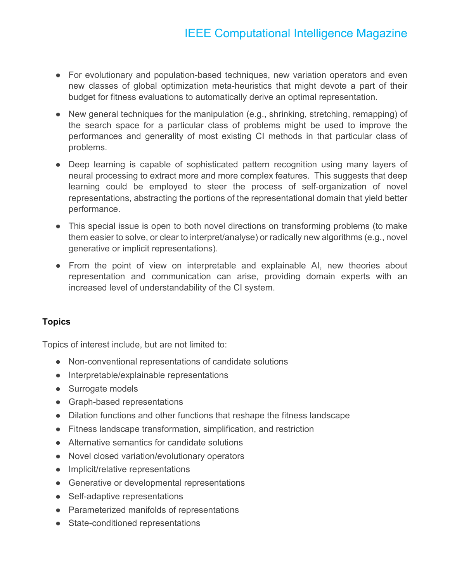## IEEE Computational Intelligence Magazine

- For evolutionary and population-based techniques, new variation operators and even new classes of global optimization meta-heuristics that might devote a part of their budget for fitness evaluations to automatically derive an optimal representation.
- New general techniques for the manipulation (e.g., shrinking, stretching, remapping) of the search space for a particular class of problems might be used to improve the performances and generality of most existing CI methods in that particular class of problems.
- Deep learning is capable of sophisticated pattern recognition using many layers of neural processing to extract more and more complex features. This suggests that deep learning could be employed to steer the process of self-organization of novel representations, abstracting the portions of the representational domain that yield better performance.
- This special issue is open to both novel directions on transforming problems (to make them easier to solve, or clear to interpret/analyse) or radically new algorithms (e.g., novel generative or implicit representations).
- From the point of view on interpretable and explainable AI, new theories about representation and communication can arise, providing domain experts with an increased level of understandability of the CI system.

#### **Topics**

Topics of interest include, but are not limited to:

- Non-conventional representations of candidate solutions
- Interpretable/explainable representations
- Surrogate models
- Graph-based representations
- Dilation functions and other functions that reshape the fitness landscape
- Fitness landscape transformation, simplification, and restriction
- Alternative semantics for candidate solutions
- Novel closed variation/evolutionary operators
- Implicit/relative representations
- Generative or developmental representations
- Self-adaptive representations
- Parameterized manifolds of representations
- State-conditioned representations